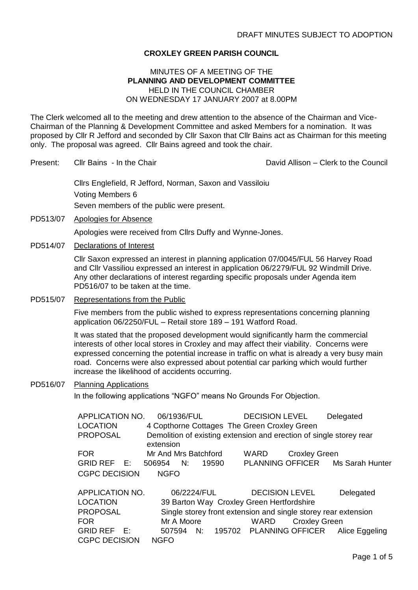## **CROXLEY GREEN PARISH COUNCIL**

### MINUTES OF A MEETING OF THE **PLANNING AND DEVELOPMENT COMMITTEE** HELD IN THE COUNCIL CHAMBER ON WEDNESDAY 17 JANUARY 2007 at 8.00PM

The Clerk welcomed all to the meeting and drew attention to the absence of the Chairman and Vice-Chairman of the Planning & Development Committee and asked Members for a nomination. It was proposed by Cllr R Jefford and seconded by Cllr Saxon that Cllr Bains act as Chairman for this meeting only. The proposal was agreed. Cllr Bains agreed and took the chair.

Present: Cllr Bains - In the Chair David Allison – Clerk to the Council

Cllrs Englefield, R Jefford, Norman, Saxon and Vassiloiu Voting Members 6 Seven members of the public were present.

PD513/07 Apologies for Absence Apologies were received from Cllrs Duffy and Wynne-Jones.

CGPC DECISION NGFO

PD514/07 Declarations of Interest

Cllr Saxon expressed an interest in planning application 07/0045/FUL 56 Harvey Road and Cllr Vassiliou expressed an interest in application 06/2279/FUL 92 Windmill Drive. Any other declarations of interest regarding specific proposals under Agenda item PD516/07 to be taken at the time.

PD515/07 Representations from the Public

Five members from the public wished to express representations concerning planning application 06/2250/FUL – Retail store 189 – 191 Watford Road.

It was stated that the proposed development would significantly harm the commercial interests of other local stores in Croxley and may affect their viability. Concerns were expressed concerning the potential increase in traffic on what is already a very busy main road. Concerns were also expressed about potential car parking which would further increase the likelihood of accidents occurring.

### PD516/07 Planning Applications

In the following applications "NGFO" means No Grounds For Objection.

| <b>APPLICATION NO.</b> | 06/1936/FUL                                                         | <b>DECISION LEVEL</b>                                          | Delegated       |
|------------------------|---------------------------------------------------------------------|----------------------------------------------------------------|-----------------|
| <b>LOCATION</b>        | 4 Copthorne Cottages The Green Croxley Green                        |                                                                |                 |
| <b>PROPOSAL</b>        | Demolition of existing extension and erection of single storey rear |                                                                |                 |
|                        | extension                                                           |                                                                |                 |
| <b>FOR</b>             | Mr And Mrs Batchford                                                | <b>WARD</b><br><b>Croxley Green</b>                            |                 |
| GRID REF E:            | 506954<br>- N:<br>19590                                             | <b>PLANNING OFFICER</b>                                        | Ms Sarah Hunter |
| <b>CGPC DECISION</b>   | <b>NGFO</b>                                                         |                                                                |                 |
|                        |                                                                     |                                                                |                 |
| APPLICATION NO.        | 06/2224/FUL                                                         | <b>DECISION LEVEL</b>                                          | Delegated       |
| <b>LOCATION</b>        | 39 Barton Way Croxley Green Hertfordshire                           |                                                                |                 |
| <b>PROPOSAL</b>        |                                                                     | Single storey front extension and single storey rear extension |                 |
| <b>FOR</b>             | Mr A Moore                                                          | <b>Croxley Green</b><br><b>WARD</b>                            |                 |
| GRID REF E:            | 507594<br>N:                                                        | 195702 PLANNING OFFICER Alice Eggeling                         |                 |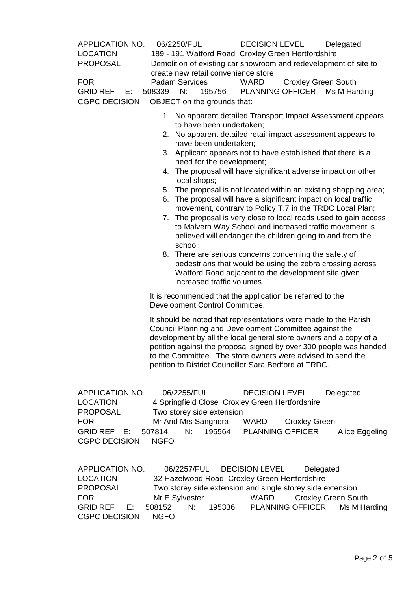| APPLICATION NO.<br><b>LOCATION</b><br><b>PROPOSAL</b><br><b>FOR</b><br>GRID REF E:<br><b>CGPC DECISION</b>           | 06/2250/FUL<br>189 - 191 Watford Road Croxley Green Hertfordshire<br>Demolition of existing car showroom and redevelopment of site to<br>create new retail convenience store<br><b>Padam Services</b><br>N:<br>508339<br>195756<br>OBJECT on the grounds that:                                                                                                                               | <b>DECISION LEVEL</b><br>WARD<br><b>Croxley Green South</b><br>PLANNING OFFICER Ms M Harding                                                                                                                                                                                                                                                                                                                                                                                                                                                                                                                                                                                                                                                                                                                                    | Delegated                                               |
|----------------------------------------------------------------------------------------------------------------------|----------------------------------------------------------------------------------------------------------------------------------------------------------------------------------------------------------------------------------------------------------------------------------------------------------------------------------------------------------------------------------------------|---------------------------------------------------------------------------------------------------------------------------------------------------------------------------------------------------------------------------------------------------------------------------------------------------------------------------------------------------------------------------------------------------------------------------------------------------------------------------------------------------------------------------------------------------------------------------------------------------------------------------------------------------------------------------------------------------------------------------------------------------------------------------------------------------------------------------------|---------------------------------------------------------|
|                                                                                                                      | to have been undertaken;<br>have been undertaken;<br>3.<br>need for the development;<br>local shops;<br>6.<br>7.<br>school;<br>increased traffic volumes.                                                                                                                                                                                                                                    | 1. No apparent detailed Transport Impact Assessment appears<br>2. No apparent detailed retail impact assessment appears to<br>Applicant appears not to have established that there is a<br>4. The proposal will have significant adverse impact on other<br>5. The proposal is not located within an existing shopping area;<br>The proposal will have a significant impact on local traffic<br>movement, contrary to Policy T.7 in the TRDC Local Plan;<br>The proposal is very close to local roads used to gain access<br>to Malvern Way School and increased traffic movement is<br>believed will endanger the children going to and from the<br>8. There are serious concerns concerning the safety of<br>pedestrians that would be using the zebra crossing across<br>Watford Road adjacent to the development site given |                                                         |
|                                                                                                                      | It is recommended that the application be referred to the<br>Development Control Committee.                                                                                                                                                                                                                                                                                                  |                                                                                                                                                                                                                                                                                                                                                                                                                                                                                                                                                                                                                                                                                                                                                                                                                                 |                                                         |
|                                                                                                                      | It should be noted that representations were made to the Parish<br>Council Planning and Development Committee against the<br>development by all the local general store owners and a copy of a<br>petition against the proposal signed by over 300 people was handed<br>to the Committee. The store owners were advised to send the<br>petition to District Councillor Sara Bedford at TRDC. |                                                                                                                                                                                                                                                                                                                                                                                                                                                                                                                                                                                                                                                                                                                                                                                                                                 |                                                         |
| APPLICATION NO.<br><b>LOCATION</b><br><b>PROPOSAL</b><br><b>FOR</b><br>GRID REF E:<br><b>CGPC DECISION</b>           | 06/2255/FUL<br>4 Springfield Close Croxley Green Hertfordshire<br>Two storey side extension<br>Mr And Mrs Sanghera<br>507814<br>N:<br>195564<br><b>NGFO</b>                                                                                                                                                                                                                                  | <b>DECISION LEVEL</b><br><b>WARD</b><br><b>Croxley Green</b><br><b>PLANNING OFFICER</b>                                                                                                                                                                                                                                                                                                                                                                                                                                                                                                                                                                                                                                                                                                                                         | Delegated<br>Alice Eggeling                             |
| APPLICATION NO.<br><b>LOCATION</b><br><b>PROPOSAL</b><br><b>FOR</b><br><b>GRID REF</b><br>Е.<br><b>CGPC DECISION</b> | 06/2257/FUL<br>Mr E Sylvester<br>508152<br>N:<br>195336<br><b>NGFO</b>                                                                                                                                                                                                                                                                                                                       | <b>DECISION LEVEL</b><br>32 Hazelwood Road Croxley Green Hertfordshire<br>Two storey side extension and single storey side extension<br><b>WARD</b><br><b>PLANNING OFFICER</b>                                                                                                                                                                                                                                                                                                                                                                                                                                                                                                                                                                                                                                                  | Delegated<br><b>Croxley Green South</b><br>Ms M Harding |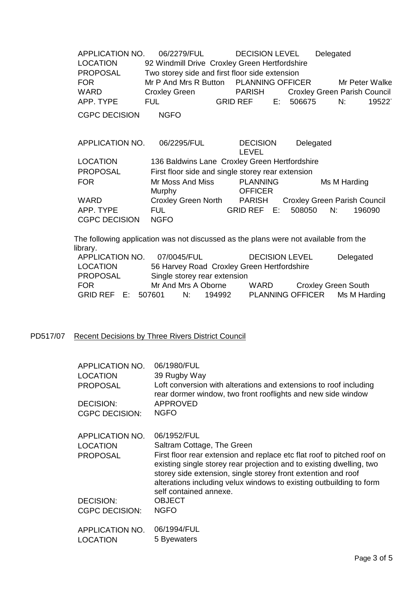APPLICATION NO. 06/2279/FUL DECISION LEVEL Delegated LOCATION 92 Windmill Drive Croxley Green Hertfordshire PROPOSAL Two storey side and first floor side extension FOR Mr P And Mrs R Button PLANNING OFFICER Mr Peter Walker WARD Croxley Green PARISH Croxley Green Parish Council APP. TYPE FUL GRID REF E: 506675 N: 195227 CGPC DECISION NGFO APPLICATION NO. 06/2295/FUL DECISION LEVEL Delegated LOCATION 136 Baldwins Lane Croxley Green Hertfordshire

| LUUATIUN             | <b>130 Balgwirds Lafle Closley Green Hermordshire</b> |                                   |                                     |
|----------------------|-------------------------------------------------------|-----------------------------------|-------------------------------------|
| <b>PROPOSAL</b>      | First floor side and single storey rear extension     |                                   |                                     |
| <b>FOR</b>           | Mr Moss And Miss<br>Murphy                            | <b>PLANNING</b><br><b>OFFICER</b> | Ms M Harding                        |
| WARD                 | <b>Croxley Green North</b>                            | PARISH                            | <b>Croxley Green Parish Council</b> |
| APP. TYPE            | FUL.                                                  | $GRID REF$ $E$                    | 508050<br>N:<br>196090              |
| <b>CGPC DECISION</b> | <b>NGFO</b>                                           |                                   |                                     |

The following application was not discussed as the plans were not available from the library.

| APPLICATION NO.    | 07/0045/FUL         |    |                              | <b>DECISION LEVEL</b>                      |                            | Delegated                     |
|--------------------|---------------------|----|------------------------------|--------------------------------------------|----------------------------|-------------------------------|
| LOCATION           |                     |    |                              | 56 Harvey Road Croxley Green Hertfordshire |                            |                               |
| <b>PROPOSAL</b>    |                     |    | Single storey rear extension |                                            |                            |                               |
| <b>FOR</b>         | Mr And Mrs A Oborne |    |                              | WARD.                                      | <b>Croxley Green South</b> |                               |
| GRID REF E: 507601 |                     | N: | 194992                       |                                            |                            | PLANNING OFFICER Ms M Harding |

### PD517/07 Recent Decisions by Three Rivers District Council

| APPLICATION NO.<br><b>LOCATION</b><br><b>PROPOSAL</b><br>DECISION: | 06/1980/FUL<br>39 Rugby Way<br>Loft conversion with alterations and extensions to roof including<br>rear dormer window, two front rooflights and new side window<br>APPROVED                                                                                                                                                                    |
|--------------------------------------------------------------------|-------------------------------------------------------------------------------------------------------------------------------------------------------------------------------------------------------------------------------------------------------------------------------------------------------------------------------------------------|
| <b>CGPC DECISION:</b>                                              | <b>NGFO</b>                                                                                                                                                                                                                                                                                                                                     |
|                                                                    |                                                                                                                                                                                                                                                                                                                                                 |
| APPLICATION NO.                                                    | 06/1952/FUL                                                                                                                                                                                                                                                                                                                                     |
| <b>LOCATION</b><br><b>PROPOSAL</b>                                 | Saltram Cottage, The Green<br>First floor rear extension and replace etc flat roof to pitched roof on<br>existing single storey rear projection and to existing dwelling, two<br>storey side extension, single storey front extention and roof<br>alterations including velux windows to existing outbuilding to form<br>self contained annexe. |
| DECISION:                                                          | <b>OBJECT</b>                                                                                                                                                                                                                                                                                                                                   |
| <b>CGPC DECISION:</b>                                              | <b>NGFO</b>                                                                                                                                                                                                                                                                                                                                     |
| APPLICATION NO.<br><b>LOCATION</b>                                 | 06/1994/FUL<br>5 Byewaters                                                                                                                                                                                                                                                                                                                      |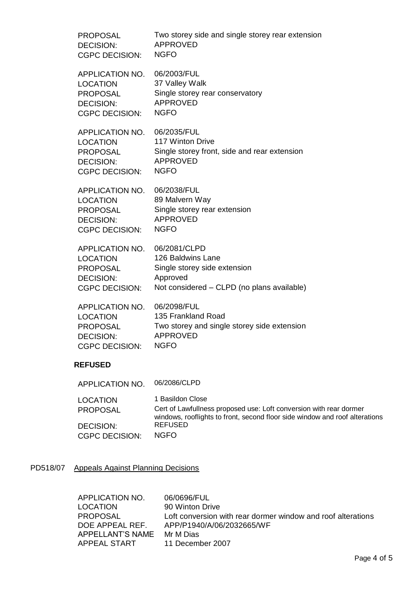| <b>PROPOSAL</b>                    | Two storey side and single storey rear extension                                                                                                                      |
|------------------------------------|-----------------------------------------------------------------------------------------------------------------------------------------------------------------------|
| <b>DECISION:</b>                   | <b>APPROVED</b>                                                                                                                                                       |
| <b>CGPC DECISION:</b>              | <b>NGFO</b>                                                                                                                                                           |
| APPLICATION NO.                    | 06/2003/FUL                                                                                                                                                           |
| <b>LOCATION</b>                    | 37 Valley Walk                                                                                                                                                        |
| <b>PROPOSAL</b>                    | Single storey rear conservatory                                                                                                                                       |
| <b>DECISION:</b>                   | <b>APPROVED</b>                                                                                                                                                       |
| <b>CGPC DECISION:</b>              | <b>NGFO</b>                                                                                                                                                           |
| APPLICATION NO.                    | 06/2035/FUL                                                                                                                                                           |
| <b>LOCATION</b>                    | 117 Winton Drive                                                                                                                                                      |
| <b>PROPOSAL</b>                    | Single storey front, side and rear extension                                                                                                                          |
| <b>DECISION:</b>                   | <b>APPROVED</b>                                                                                                                                                       |
| <b>CGPC DECISION:</b>              | <b>NGFO</b>                                                                                                                                                           |
| APPLICATION NO.                    | 06/2038/FUL                                                                                                                                                           |
| <b>LOCATION</b>                    | 89 Malvern Way                                                                                                                                                        |
| <b>PROPOSAL</b>                    | Single storey rear extension                                                                                                                                          |
| <b>DECISION:</b>                   | <b>APPROVED</b>                                                                                                                                                       |
| <b>CGPC DECISION:</b>              | <b>NGFO</b>                                                                                                                                                           |
| APPLICATION NO.                    | 06/2081/CLPD                                                                                                                                                          |
| <b>LOCATION</b>                    | 126 Baldwins Lane                                                                                                                                                     |
| <b>PROPOSAL</b>                    | Single storey side extension                                                                                                                                          |
| <b>DECISION:</b>                   | Approved                                                                                                                                                              |
| <b>CGPC DECISION:</b>              | Not considered - CLPD (no plans available)                                                                                                                            |
| APPLICATION NO.                    | 06/2098/FUL                                                                                                                                                           |
| <b>LOCATION</b>                    | 135 Frankland Road                                                                                                                                                    |
| <b>PROPOSAL</b>                    | Two storey and single storey side extension                                                                                                                           |
| <b>DECISION:</b>                   | <b>APPROVED</b>                                                                                                                                                       |
| <b>CGPC DECISION:</b>              | <b>NGFO</b>                                                                                                                                                           |
| <b>REFUSED</b>                     |                                                                                                                                                                       |
| APPLICATION NO.                    | 06/2086/CLPD                                                                                                                                                          |
| <b>LOCATION</b><br><b>PROPOSAL</b> | 1 Basildon Close<br>Cert of Lawfullness proposed use: Loft conversion with rear dormer<br>windows, rooflights to front, second floor side window and roof alterations |
| <b>DECISION:</b>                   | <b>REFUSED</b>                                                                                                                                                        |
| <b>CGPC DECISION:</b>              | <b>NGFO</b>                                                                                                                                                           |

# PD518/07 Appeals Against Planning Decisions

| APPLICATION NO.  | 06/0696/FUL                                                  |
|------------------|--------------------------------------------------------------|
| LOCATION         | 90 Winton Drive                                              |
| PROPOSAL         | Loft conversion with rear dormer window and roof alterations |
| DOE APPEAL REF.  | APP/P1940/A/06/2032665/WF                                    |
| APPELLANT'S NAME | Mr M Dias                                                    |
| APPEAL START     | 11 December 2007                                             |